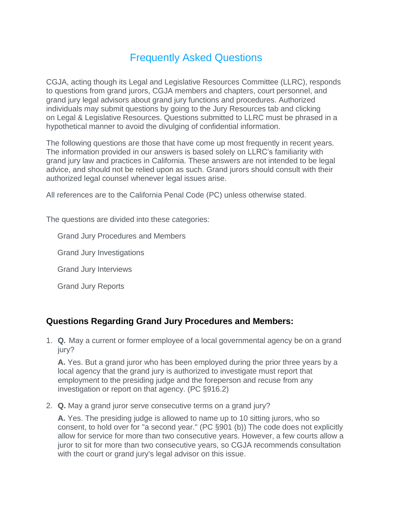# Frequently Asked Questions

CGJA, acting though its Legal and Legislative Resources Committee (LLRC), responds to questions from grand jurors, CGJA members and chapters, court personnel, and grand jury legal advisors about grand jury functions and procedures. Authorized individuals may submit questions by going to the Jury Resources tab and clicking on Legal & Legislative Resources. Questions submitted to LLRC must be phrased in a hypothetical manner to avoid the divulging of confidential information.

The following questions are those that have come up most frequently in recent years. The information provided in our answers is based solely on LLRC's familiarity with grand jury law and practices in California. These answers are not intended to be legal advice, and should not be relied upon as such. Grand jurors should consult with their authorized legal counsel whenever legal issues arise.

All references are to the California Penal Code (PC) unless otherwise stated.

The questions are divided into these categories:

Grand Jury Procedures and Members

Grand Jury Investigations

Grand Jury Interviews

Grand Jury Reports

#### **Questions Regarding Grand Jury Procedures and Members:**

1. **Q.** May a current or former employee of a local governmental agency be on a grand jury?

**A.** Yes. But a grand juror who has been employed during the prior three years by a local agency that the grand jury is authorized to investigate must report that employment to the presiding judge and the foreperson and recuse from any investigation or report on that agency. (PC §916.2)

2. **Q.** May a grand juror serve consecutive terms on a grand jury?

**A.** Yes. The presiding judge is allowed to name up to 10 sitting jurors, who so consent, to hold over for "a second year." (PC §901 (b)) The code does not explicitly allow for service for more than two consecutive years. However, a few courts allow a juror to sit for more than two consecutive years, so CGJA recommends consultation with the court or grand jury's legal advisor on this issue.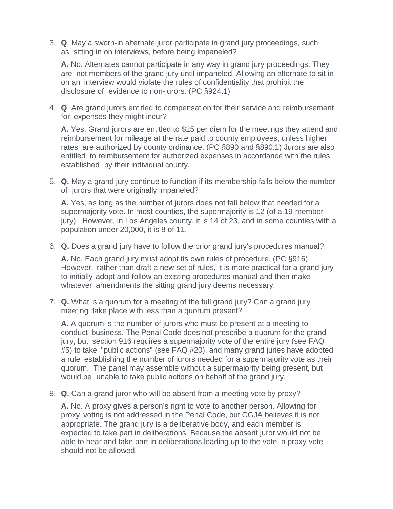3. **Q**. May a sworn-in alternate juror participate in grand jury proceedings, such as sitting in on interviews, before being impaneled?

**A.** No. Alternates cannot participate in any way in grand jury proceedings. They are not members of the grand jury until impaneled. Allowing an alternate to sit in on an interview would violate the rules of confidentiality that prohibit the disclosure of evidence to non-jurors. (PC §924.1)

4. **Q**. Are grand jurors entitled to compensation for their service and reimbursement for expenses they might incur?

**A.** Yes. Grand jurors are entitled to \$15 per diem for the meetings they attend and reimbursement for mileage at the rate paid to county employees, unless higher rates are authorized by county ordinance. (PC §890 and §890.1) Jurors are also entitled to reimbursement for authorized expenses in accordance with the rules established by their individual county.

5. **Q.** May a grand jury continue to function if its membership falls below the number of jurors that were originally impaneled?

**A.** Yes, as long as the number of jurors does not fall below that needed for a supermajority vote. In most counties, the supermajority is 12 (of a 19-member jury). However, in Los Angeles county, it is 14 of 23, and in some counties with a population under 20,000, it is 8 of 11.

6. **Q.** Does a grand jury have to follow the prior grand jury's procedures manual?

**A.** No. Each grand jury must adopt its own rules of procedure. (PC §916) However, rather than draft a new set of rules, it is more practical for a grand jury to initially adopt and follow an existing procedures manual and then make whatever amendments the sitting grand jury deems necessary.

7. **Q.** What is a quorum for a meeting of the full grand jury? Can a grand jury meeting take place with less than a quorum present?

**A.** A quorum is the number of jurors who must be present at a meeting to conduct business. The Penal Code does not prescribe a quorum for the grand jury, but section 916 requires a supermajority vote of the entire jury (see FAQ #5) to take "public actions" (see FAQ #20), and many grand juries have adopted a rule establishing the number of jurors needed for a supermajority vote as their quorum. The panel may assemble without a supermajority being present, but would be unable to take public actions on behalf of the grand jury.

8. **Q.** Can a grand juror who will be absent from a meeting vote by proxy?

**A.** No. A proxy gives a person's right to vote to another person. Allowing for proxy voting is not addressed in the Penal Code, but CGJA believes it is not appropriate. The grand jury is a deliberative body, and each member is expected to take part in deliberations. Because the absent juror would not be able to hear and take part in deliberations leading up to the vote, a proxy vote should not be allowed.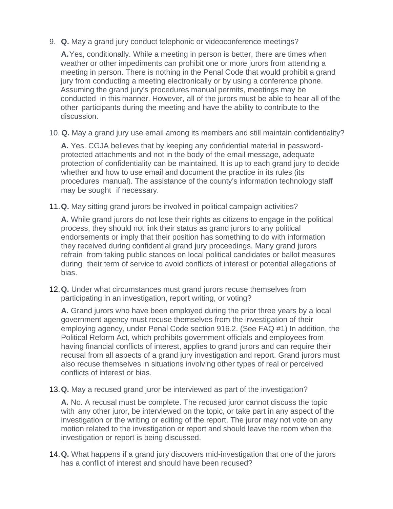9. **Q.** May a grand jury conduct telephonic or videoconference meetings?

**A.**Yes, conditionally. While a meeting in person is better, there are times when weather or other impediments can prohibit one or more jurors from attending a meeting in person. There is nothing in the Penal Code that would prohibit a grand jury from conducting a meeting electronically or by using a conference phone. Assuming the grand jury's procedures manual permits, meetings may be conducted in this manner. However, all of the jurors must be able to hear all of the other participants during the meeting and have the ability to contribute to the discussion.

10. **Q.** May a grand jury use email among its members and still maintain confidentiality?

**A.** Yes. CGJA believes that by keeping any confidential material in passwordprotected attachments and not in the body of the email message, adequate protection of confidentiality can be maintained. It is up to each grand jury to decide whether and how to use email and document the practice in its rules (its procedures manual). The assistance of the county's information technology staff may be sought if necessary.

11.**Q.** May sitting grand jurors be involved in political campaign activities?

**A.** While grand jurors do not lose their rights as citizens to engage in the political process, they should not link their status as grand jurors to any political endorsements or imply that their position has something to do with information they received during confidential grand jury proceedings. Many grand jurors refrain from taking public stances on local political candidates or ballot measures during their term of service to avoid conflicts of interest or potential allegations of bias.

12.**Q.** Under what circumstances must grand jurors recuse themselves from participating in an investigation, report writing, or voting?

**A.** Grand jurors who have been employed during the prior three years by a local government agency must recuse themselves from the investigation of their employing agency, under Penal Code section 916.2. (See FAQ #1) In addition, the Political Reform Act, which prohibits government officials and employees from having financial conflicts of interest, applies to grand jurors and can require their recusal from all aspects of a grand jury investigation and report. Grand jurors must also recuse themselves in situations involving other types of real or perceived conflicts of interest or bias.

13.**Q.** May a recused grand juror be interviewed as part of the investigation?

**A.** No. A recusal must be complete. The recused juror cannot discuss the topic with any other juror, be interviewed on the topic, or take part in any aspect of the investigation or the writing or editing of the report. The juror may not vote on any motion related to the investigation or report and should leave the room when the investigation or report is being discussed.

14.**Q.** What happens if a grand jury discovers mid-investigation that one of the jurors has a conflict of interest and should have been recused?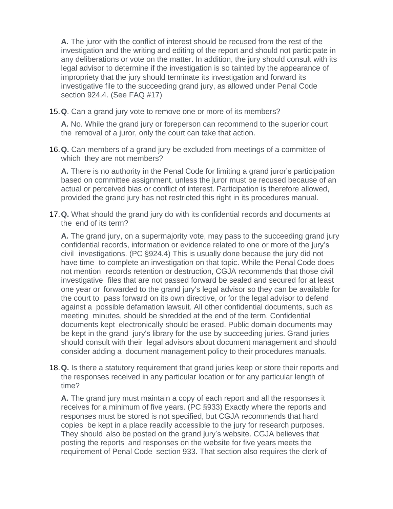**A.** The juror with the conflict of interest should be recused from the rest of the investigation and the writing and editing of the report and should not participate in any deliberations or vote on the matter. In addition, the jury should consult with its legal advisor to determine if the investigation is so tainted by the appearance of impropriety that the jury should terminate its investigation and forward its investigative file to the succeeding grand jury, as allowed under Penal Code section 924.4. (See FAQ #17)

15.**Q**. Can a grand jury vote to remove one or more of its members?

**A.** No. While the grand jury or foreperson can recommend to the superior court the removal of a juror, only the court can take that action.

16.**Q.** Can members of a grand jury be excluded from meetings of a committee of which they are not members?

**A.** There is no authority in the Penal Code for limiting a grand juror's participation based on committee assignment, unless the juror must be recused because of an actual or perceived bias or conflict of interest. Participation is therefore allowed, provided the grand jury has not restricted this right in its procedures manual.

17.**Q.** What should the grand jury do with its confidential records and documents at the end of its term?

**A.** The grand jury, on a supermajority vote, may pass to the succeeding grand jury confidential records, information or evidence related to one or more of the jury's civil investigations. (PC §924.4) This is usually done because the jury did not have time to complete an investigation on that topic. While the Penal Code does not mention records retention or destruction, CGJA recommends that those civil investigative files that are not passed forward be sealed and secured for at least one year or forwarded to the grand jury's legal advisor so they can be available for the court to pass forward on its own directive, or for the legal advisor to defend against a possible defamation lawsuit. All other confidential documents, such as meeting minutes, should be shredded at the end of the term. Confidential documents kept electronically should be erased. Public domain documents may be kept in the grand jury's library for the use by succeeding juries. Grand juries should consult with their legal advisors about document management and should consider adding a document management policy to their procedures manuals.

18.**Q.** Is there a statutory requirement that grand juries keep or store their reports and the responses received in any particular location or for any particular length of time?

**A.** The grand jury must maintain a copy of each report and all the responses it receives for a minimum of five years. (PC §933) Exactly where the reports and responses must be stored is not specified, but CGJA recommends that hard copies be kept in a place readily accessible to the jury for research purposes. They should also be posted on the grand jury's website. CGJA believes that posting the reports and responses on the website for five years meets the requirement of Penal Code section 933. That section also requires the clerk of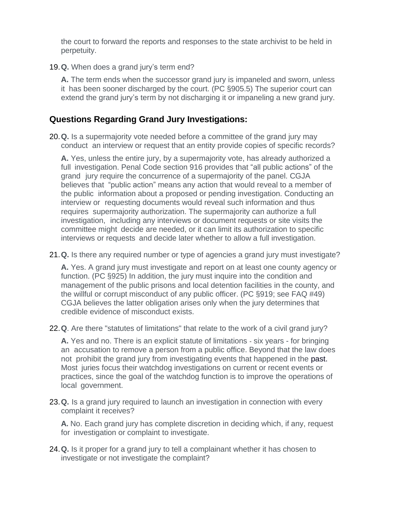the court to forward the reports and responses to the state archivist to be held in perpetuity.

19.**Q.** When does a grand jury's term end?

**A.** The term ends when the successor grand jury is impaneled and sworn, unless it has been sooner discharged by the court. (PC §905.5) The superior court can extend the grand jury's term by not discharging it or impaneling a new grand jury.

## **Questions Regarding Grand Jury Investigations:**

20.**Q.** Is a supermajority vote needed before a committee of the grand jury may conduct an interview or request that an entity provide copies of specific records?

**A.** Yes, unless the entire jury, by a supermajority vote, has already authorized a full investigation. Penal Code section 916 provides that "all public actions" of the grand jury require the concurrence of a supermajority of the panel. CGJA believes that "public action" means any action that would reveal to a member of the public information about a proposed or pending investigation. Conducting an interview or requesting documents would reveal such information and thus requires supermajority authorization. The supermajority can authorize a full investigation, including any interviews or document requests or site visits the committee might decide are needed, or it can limit its authorization to specific interviews or requests and decide later whether to allow a full investigation.

21.**Q.** Is there any required number or type of agencies a grand jury must investigate?

**A.** Yes. A grand jury must investigate and report on at least one county agency or function. (PC §925) In addition, the jury must inquire into the condition and management of the public prisons and local detention facilities in the county, and the willful or corrupt misconduct of any public officer. (PC §919; see FAQ #49) CGJA believes the latter obligation arises only when the jury determines that credible evidence of misconduct exists.

22.**Q**. Are there "statutes of limitations" that relate to the work of a civil grand jury?

**A.** Yes and no. There is an explicit statute of limitations - six years - for bringing an accusation to remove a person from a public office. Beyond that the law does not prohibit the grand jury from investigating events that happened in the past. Most juries focus their watchdog investigations on current or recent events or practices, since the goal of the watchdog function is to improve the operations of local government.

23.**Q.** Is a grand jury required to launch an investigation in connection with every complaint it receives?

**A.** No. Each grand jury has complete discretion in deciding which, if any, request for investigation or complaint to investigate.

24.**Q.** Is it proper for a grand jury to tell a complainant whether it has chosen to investigate or not investigate the complaint?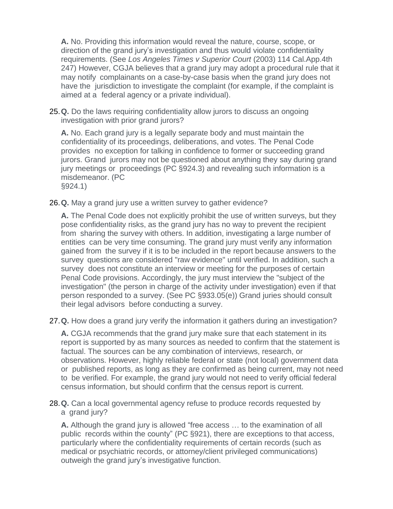**A.** No. Providing this information would reveal the nature, course, scope, or direction of the grand jury's investigation and thus would violate confidentiality requirements. (See *Los Angeles Times v Superior Court* (2003) 114 Cal.App.4th 247) However, CGJA believes that a grand jury may adopt a procedural rule that it may notify complainants on a case-by-case basis when the grand jury does not have the jurisdiction to investigate the complaint (for example, if the complaint is aimed at a federal agency or a private individual).

25.**Q.** Do the laws requiring confidentiality allow jurors to discuss an ongoing investigation with prior grand jurors?

**A.** No. Each grand jury is a legally separate body and must maintain the confidentiality of its proceedings, deliberations, and votes. The Penal Code provides no exception for talking in confidence to former or succeeding grand jurors. Grand jurors may not be questioned about anything they say during grand jury meetings or proceedings (PC §924.3) and revealing such information is a misdemeanor. (PC

§924.1)

26.**Q.** May a grand jury use a written survey to gather evidence?

**A.** The Penal Code does not explicitly prohibit the use of written surveys, but they pose confidentiality risks, as the grand jury has no way to prevent the recipient from sharing the survey with others. In addition, investigating a large number of entities can be very time consuming. The grand jury must verify any information gained from the survey if it is to be included in the report because answers to the survey questions are considered "raw evidence" until verified. In addition, such a survey does not constitute an interview or meeting for the purposes of certain Penal Code provisions. Accordingly, the jury must interview the "subject of the investigation" (the person in charge of the activity under investigation) even if that person responded to a survey. (See PC §933.05(e)) Grand juries should consult their legal advisors before conducting a survey.

27.**Q.** How does a grand jury verify the information it gathers during an investigation?

**A.** CGJA recommends that the grand jury make sure that each statement in its report is supported by as many sources as needed to confirm that the statement is factual. The sources can be any combination of interviews, research, or observations. However, highly reliable federal or state (not local) government data or published reports, as long as they are confirmed as being current, may not need to be verified. For example, the grand jury would not need to verify official federal census information, but should confirm that the census report is current.

28.**Q.** Can a local governmental agency refuse to produce records requested by a grand jury?

**A.** Although the grand jury is allowed "free access … to the examination of all public records within the county" (PC §921), there are exceptions to that access, particularly where the confidentiality requirements of certain records (such as medical or psychiatric records, or attorney/client privileged communications) outweigh the grand jury's investigative function.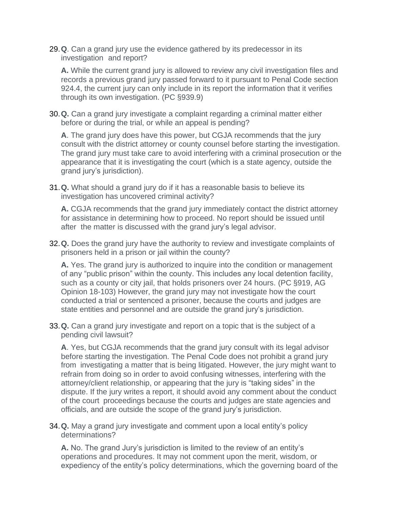29.**Q**. Can a grand jury use the evidence gathered by its predecessor in its investigation and report?

**A.** While the current grand jury is allowed to review any civil investigation files and records a previous grand jury passed forward to it pursuant to Penal Code section 924.4, the current jury can only include in its report the information that it verifies through its own investigation. (PC §939.9)

30.**Q.** Can a grand jury investigate a complaint regarding a criminal matter either before or during the trial, or while an appeal is pending?

**A**. The grand jury does have this power, but CGJA recommends that the jury consult with the district attorney or county counsel before starting the investigation. The grand jury must take care to avoid interfering with a criminal prosecution or the appearance that it is investigating the court (which is a state agency, outside the grand jury's jurisdiction).

31.**Q.** What should a grand jury do if it has a reasonable basis to believe its investigation has uncovered criminal activity?

**A.** CGJA recommends that the grand jury immediately contact the district attorney for assistance in determining how to proceed. No report should be issued until after the matter is discussed with the grand jury's legal advisor.

32.**Q.** Does the grand jury have the authority to review and investigate complaints of prisoners held in a prison or jail within the county?

**A.** Yes. The grand jury is authorized to inquire into the condition or management of any "public prison" within the county. This includes any local detention facility, such as a county or city jail, that holds prisoners over 24 hours. (PC §919, AG Opinion 18-103) However, the grand jury may not investigate how the court conducted a trial or sentenced a prisoner, because the courts and judges are state entities and personnel and are outside the grand jury's jurisdiction.

33.**Q.** Can a grand jury investigate and report on a topic that is the subject of a pending civil lawsuit?

**A**. Yes, but CGJA recommends that the grand jury consult with its legal advisor before starting the investigation. The Penal Code does not prohibit a grand jury from investigating a matter that is being litigated. However, the jury might want to refrain from doing so in order to avoid confusing witnesses, interfering with the attorney/client relationship, or appearing that the jury is "taking sides" in the dispute. If the jury writes a report, it should avoid any comment about the conduct of the court proceedings because the courts and judges are state agencies and officials, and are outside the scope of the grand jury's jurisdiction.

34.**Q.** May a grand jury investigate and comment upon a local entity's policy determinations?

**A.** No. The grand Jury's jurisdiction is limited to the review of an entity's operations and procedures. It may not comment upon the merit, wisdom, or expediency of the entity's policy determinations, which the governing board of the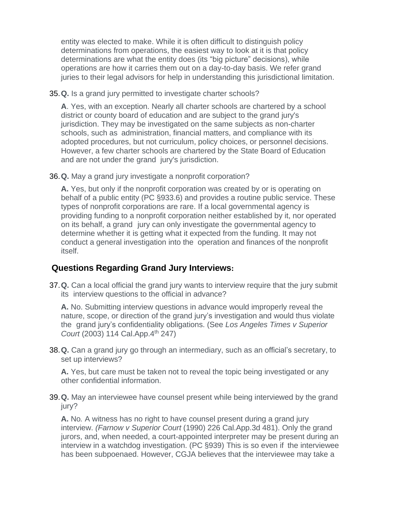entity was elected to make. While it is often difficult to distinguish policy determinations from operations, the easiest way to look at it is that policy determinations are what the entity does (its "big picture" decisions), while operations are how it carries them out on a day-to-day basis. We refer grand juries to their legal advisors for help in understanding this jurisdictional limitation.

35.**Q.** Is a grand jury permitted to investigate charter schools?

**A**. Yes, with an exception. Nearly all charter schools are chartered by a school district or county board of education and are subject to the grand jury's jurisdiction. They may be investigated on the same subjects as non-charter schools, such as administration, financial matters, and compliance with its adopted procedures, but not curriculum, policy choices, or personnel decisions. However, a few charter schools are chartered by the State Board of Education and are not under the grand jury's jurisdiction.

36.**Q.** May a grand jury investigate a nonprofit corporation?

**A.** Yes, but only if the nonprofit corporation was created by or is operating on behalf of a public entity (PC §933.6) and provides a routine public service. These types of nonprofit corporations are rare. If a local governmental agency is providing funding to a nonprofit corporation neither established by it, nor operated on its behalf, a grand jury can only investigate the governmental agency to determine whether it is getting what it expected from the funding. It may not conduct a general investigation into the operation and finances of the nonprofit itself.

#### **Questions Regarding Grand Jury Interviews:**

37.**Q.** Can a local official the grand jury wants to interview require that the jury submit its interview questions to the official in advance?

**A.** No. Submitting interview questions in advance would improperly reveal the nature, scope, or direction of the grand jury's investigation and would thus violate the grand jury's confidentiality obligations. (See *Los Angeles Times v Superior Court* (2003) 114 Cal.App.4<sup>th</sup> 247)

38.**Q.** Can a grand jury go through an intermediary, such as an official's secretary, to set up interviews?

**A.** Yes, but care must be taken not to reveal the topic being investigated or any other confidential information.

39.**Q.** May an interviewee have counsel present while being interviewed by the grand jury?

**A.** No*.* A witness has no right to have counsel present during a grand jury interview. *(Farnow v Superior Court* (1990) 226 Cal.App.3d 481). Only the grand jurors, and, when needed, a court-appointed interpreter may be present during an interview in a watchdog investigation. (PC §939) This is so even if the interviewee has been subpoenaed. However, CGJA believes that the interviewee may take a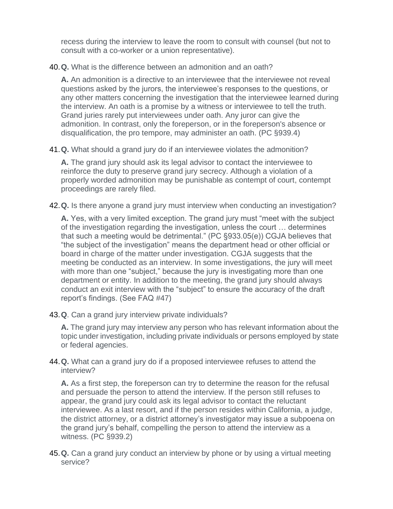recess during the interview to leave the room to consult with counsel (but not to consult with a co-worker or a union representative).

40.**Q.** What is the difference between an admonition and an oath?

**A.** An admonition is a directive to an interviewee that the interviewee not reveal questions asked by the jurors, the interviewee's responses to the questions, or any other matters concerning the investigation that the interviewee learned during the interview. An oath is a promise by a witness or interviewee to tell the truth. Grand juries rarely put interviewees under oath. Any juror can give the admonition. In contrast, only the foreperson, or in the foreperson's absence or disqualification, the pro tempore, may administer an oath. (PC §939.4)

41.**Q.** What should a grand jury do if an interviewee violates the admonition?

**A.** The grand jury should ask its legal advisor to contact the interviewee to reinforce the duty to preserve grand jury secrecy. Although a violation of a properly worded admonition may be punishable as contempt of court, contempt proceedings are rarely filed.

42.**Q.** Is there anyone a grand jury must interview when conducting an investigation?

**A.** Yes, with a very limited exception. The grand jury must "meet with the subject of the investigation regarding the investigation, unless the court … determines that such a meeting would be detrimental." (PC §933.05(e)) CGJA believes that "the subject of the investigation" means the department head or other official or board in charge of the matter under investigation. CGJA suggests that the meeting be conducted as an interview. In some investigations, the jury will meet with more than one "subject," because the jury is investigating more than one department or entity. In addition to the meeting, the grand jury should always conduct an exit interview with the "subject" to ensure the accuracy of the draft report's findings. (See FAQ #47)

43.**Q**. Can a grand jury interview private individuals?

**A.** The grand jury may interview any person who has relevant information about the topic under investigation, including private individuals or persons employed by state or federal agencies.

44.**Q.** What can a grand jury do if a proposed interviewee refuses to attend the interview?

**A.** As a first step, the foreperson can try to determine the reason for the refusal and persuade the person to attend the interview. If the person still refuses to appear, the grand jury could ask its legal advisor to contact the reluctant interviewee. As a last resort, and if the person resides within California, a judge, the district attorney, or a district attorney's investigator may issue a subpoena on the grand jury's behalf, compelling the person to attend the interview as a witness. (PC §939.2)

45.**Q.** Can a grand jury conduct an interview by phone or by using a virtual meeting service?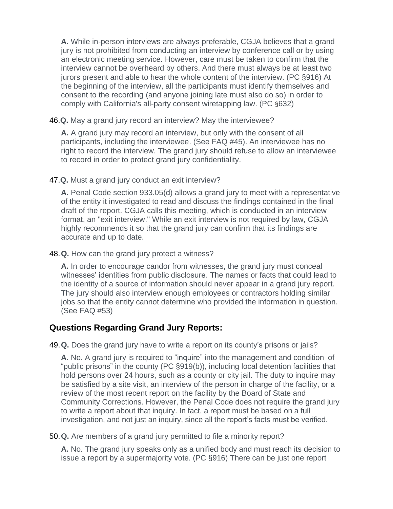**A.** While in-person interviews are always preferable, CGJA believes that a grand jury is not prohibited from conducting an interview by conference call or by using an electronic meeting service. However, care must be taken to confirm that the interview cannot be overheard by others. And there must always be at least two jurors present and able to hear the whole content of the interview. (PC §916) At the beginning of the interview, all the participants must identify themselves and consent to the recording (and anyone joining late must also do so) in order to comply with California's all-party consent wiretapping law. (PC §632)

46.**Q.** May a grand jury record an interview? May the interviewee?

**A.** A grand jury may record an interview, but only with the consent of all participants, including the interviewee. (See FAQ #45). An interviewee has no right to record the interview. The grand jury should refuse to allow an interviewee to record in order to protect grand jury confidentiality.

47.**Q.** Must a grand jury conduct an exit interview?

**A.** Penal Code section 933.05(d) allows a grand jury to meet with a representative of the entity it investigated to read and discuss the findings contained in the final draft of the report. CGJA calls this meeting, which is conducted in an interview format, an "exit interview." While an exit interview is not required by law, CGJA highly recommends it so that the grand jury can confirm that its findings are accurate and up to date.

48.**Q.** How can the grand jury protect a witness?

**A.** In order to encourage candor from witnesses, the grand jury must conceal witnesses' identities from public disclosure. The names or facts that could lead to the identity of a source of information should never appear in a grand jury report. The jury should also interview enough employees or contractors holding similar jobs so that the entity cannot determine who provided the information in question. (See FAQ #53)

### **Questions Regarding Grand Jury Reports:**

49.**Q.** Does the grand jury have to write a report on its county's prisons or jails?

**A.** No. A grand jury is required to "inquire" into the management and condition of "public prisons" in the county (PC §919(b)), including local detention facilities that hold persons over 24 hours, such as a county or city jail. The duty to inquire may be satisfied by a site visit, an interview of the person in charge of the facility, or a review of the most recent report on the facility by the Board of State and Community Corrections. However, the Penal Code does not require the grand jury to write a report about that inquiry. In fact, a report must be based on a full investigation, and not just an inquiry, since all the report's facts must be verified.

50.**Q.** Are members of a grand jury permitted to file a minority report?

**A.** No. The grand jury speaks only as a unified body and must reach its decision to issue a report by a supermajority vote. (PC §916) There can be just one report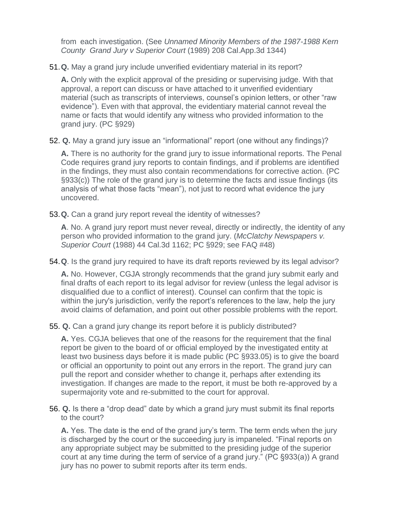from each investigation. (See *Unnamed Minority Members of the 1987-1988 Kern County Grand Jury v Superior Court* (1989) 208 Cal.App.3d 1344)

51.**Q.** May a grand jury include unverified evidentiary material in its report?

**A.** Only with the explicit approval of the presiding or supervising judge. With that approval, a report can discuss or have attached to it unverified evidentiary material (such as transcripts of interviews, counsel's opinion letters, or other "raw evidence"). Even with that approval, the evidentiary material cannot reveal the name or facts that would identify any witness who provided information to the grand jury. (PC §929)

52. **Q.** May a grand jury issue an "informational" report (one without any findings)?

**A.** There is no authority for the grand jury to issue informational reports. The Penal Code requires grand jury reports to contain findings, and if problems are identified in the findings, they must also contain recommendations for corrective action. (PC §933(c)) The role of the grand jury is to determine the facts and issue findings (its analysis of what those facts "mean"), not just to record what evidence the jury uncovered.

53.**Q.** Can a grand jury report reveal the identity of witnesses?

**A**. No. A grand jury report must never reveal, directly or indirectly, the identity of any person who provided information to the grand jury. (*McClatchy Newspapers v. Superior Court* (1988) 44 Cal.3d 1162; PC §929; see FAQ #48)

54.**Q**. Is the grand jury required to have its draft reports reviewed by its legal advisor?

**A.** No. However, CGJA strongly recommends that the grand jury submit early and final drafts of each report to its legal advisor for review (unless the legal advisor is disqualified due to a conflict of interest). Counsel can confirm that the topic is within the jury's jurisdiction, verify the report's references to the law, help the jury avoid claims of defamation, and point out other possible problems with the report.

55. **Q.** Can a grand jury change its report before it is publicly distributed?

**A.** Yes. CGJA believes that one of the reasons for the requirement that the final report be given to the board of or official employed by the investigated entity at least two business days before it is made public (PC §933.05) is to give the board or official an opportunity to point out any errors in the report. The grand jury can pull the report and consider whether to change it, perhaps after extending its investigation. If changes are made to the report, it must be both re-approved by a supermajority vote and re-submitted to the court for approval.

56. **Q.** Is there a "drop dead" date by which a grand jury must submit its final reports to the court?

**A.** Yes. The date is the end of the grand jury's term. The term ends when the jury is discharged by the court or the succeeding jury is impaneled. "Final reports on any appropriate subject may be submitted to the presiding judge of the superior court at any time during the term of service of a grand jury." (PC §933(a)) A grand jury has no power to submit reports after its term ends.